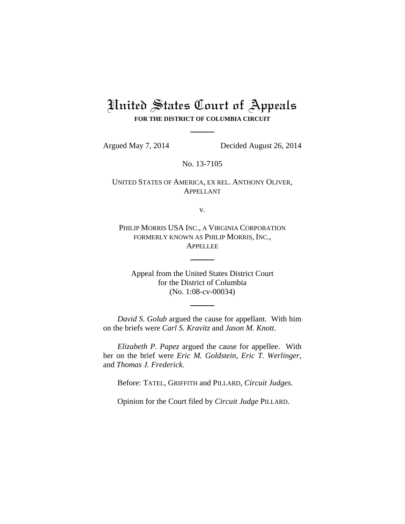# United States Court of Appeals **FOR THE DISTRICT OF COLUMBIA CIRCUIT**

Argued May 7, 2014 Decided August 26, 2014

No. 13-7105

UNITED STATES OF AMERICA, EX REL. ANTHONY OLIVER, APPELLANT

v.

PHILIP MORRIS USA INC., A VIRGINIA CORPORATION FORMERLY KNOWN AS PHILIP MORRIS, INC., APPELLEE

Appeal from the United States District Court for the District of Columbia (No. 1:08-cv-00034)

*David S. Golub* argued the cause for appellant. With him on the briefs were *Carl S. Kravitz* and *Jason M. Knott*.

*Elizabeth P. Papez* argued the cause for appellee. With her on the brief were *Eric M. Goldstein*, *Eric T. Werlinger*, and *Thomas J. Frederick*.

Before: TATEL, GRIFFITH and PILLARD, *Circuit Judges*.

Opinion for the Court filed by *Circuit Judge* PILLARD.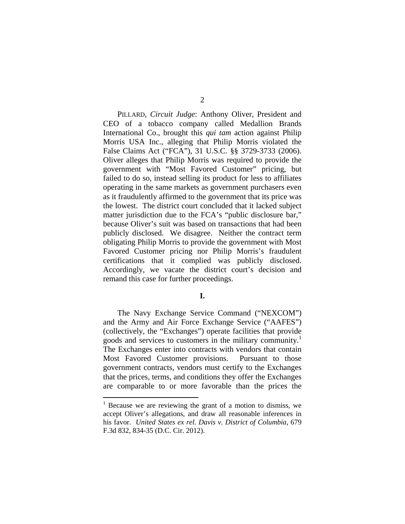PILLARD, *Circuit Judge*: Anthony Oliver, President and CEO of a tobacco company called Medallion Brands International Co., brought this *qui tam* action against Philip Morris USA Inc., alleging that Philip Morris violated the False Claims Act ("FCA"), 31 U.S.C. §§ 3729-3733 (2006). Oliver alleges that Philip Morris was required to provide the government with "Most Favored Customer" pricing, but failed to do so, instead selling its product for less to affiliates operating in the same markets as government purchasers even as it fraudulently affirmed to the government that its price was the lowest. The district court concluded that it lacked subject matter jurisdiction due to the FCA's "public disclosure bar," because Oliver's suit was based on transactions that had been publicly disclosed. We disagree. Neither the contract term obligating Philip Morris to provide the government with Most Favored Customer pricing nor Philip Morris's fraudulent certifications that it complied was publicly disclosed. Accordingly, we vacate the district court's decision and remand this case for further proceedings.

## **I.**

The Navy Exchange Service Command ("NEXCOM") and the Army and Air Force Exchange Service ("AAFES") (collectively, the "Exchanges") operate facilities that provide goods and services to customers in the military community.<sup>1</sup> The Exchanges enter into contracts with vendors that contain Most Favored Customer provisions. Pursuant to those government contracts, vendors must certify to the Exchanges that the prices, terms, and conditions they offer the Exchanges are comparable to or more favorable than the prices the

 $\overline{a}$ 

<sup>&</sup>lt;sup>1</sup> Because we are reviewing the grant of a motion to dismiss, we accept Oliver's allegations, and draw all reasonable inferences in his favor. *United States ex rel. Davis v. District of Columbia*, 679 F.3d 832, 834-35 (D.C. Cir. 2012).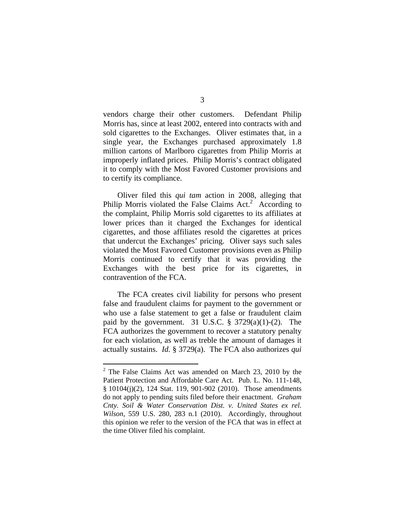vendors charge their other customers. Defendant Philip Morris has, since at least 2002, entered into contracts with and sold cigarettes to the Exchanges. Oliver estimates that, in a single year, the Exchanges purchased approximately 1.8 million cartons of Marlboro cigarettes from Philip Morris at improperly inflated prices. Philip Morris's contract obligated it to comply with the Most Favored Customer provisions and to certify its compliance.

Oliver filed this *qui tam* action in 2008, alleging that Philip Morris violated the False Claims  $Act<sup>2</sup>$  According to the complaint, Philip Morris sold cigarettes to its affiliates at lower prices than it charged the Exchanges for identical cigarettes, and those affiliates resold the cigarettes at prices that undercut the Exchanges' pricing. Oliver says such sales violated the Most Favored Customer provisions even as Philip Morris continued to certify that it was providing the Exchanges with the best price for its cigarettes, in contravention of the FCA.

The FCA creates civil liability for persons who present false and fraudulent claims for payment to the government or who use a false statement to get a false or fraudulent claim paid by the government. 31 U.S.C.  $\S$  3729(a)(1)-(2). The FCA authorizes the government to recover a statutory penalty for each violation, as well as treble the amount of damages it actually sustains. *Id.* § 3729(a). The FCA also authorizes *qui* 

 $\overline{a}$ 

 $2^2$  The False Claims Act was amended on March 23, 2010 by the Patient Protection and Affordable Care Act. Pub. L. No. 111-148, § 10104(j)(2), 124 Stat. 119, 901-902 (2010). Those amendments do not apply to pending suits filed before their enactment. *Graham Cnty. Soil & Water Conservation Dist. v. United States ex rel. Wilson*, 559 U.S. 280, 283 n.1 (2010). Accordingly, throughout this opinion we refer to the version of the FCA that was in effect at the time Oliver filed his complaint.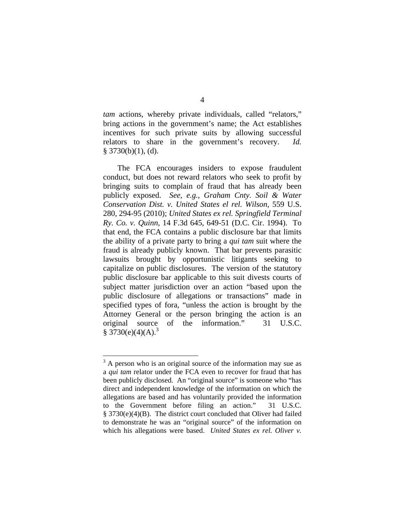*tam* actions, whereby private individuals, called "relators," bring actions in the government's name; the Act establishes incentives for such private suits by allowing successful relators to share in the government's recovery. *Id.*  $§$  3730(b)(1), (d).

The FCA encourages insiders to expose fraudulent conduct, but does not reward relators who seek to profit by bringing suits to complain of fraud that has already been publicly exposed. *See, e.g.*, *Graham Cnty. Soil & Water Conservation Dist. v. United States el rel. Wilson*, 559 U.S. 280, 294-95 (2010); *United States ex rel. Springfield Terminal Ry. Co. v. Quinn*, 14 F.3d 645, 649-51 (D.C. Cir. 1994). To that end, the FCA contains a public disclosure bar that limits the ability of a private party to bring a *qui tam* suit where the fraud is already publicly known. That bar prevents parasitic lawsuits brought by opportunistic litigants seeking to capitalize on public disclosures. The version of the statutory public disclosure bar applicable to this suit divests courts of subject matter jurisdiction over an action "based upon the public disclosure of allegations or transactions" made in specified types of fora, "unless the action is brought by the Attorney General or the person bringing the action is an original source of the information." 31 U.S.C.  $$3730(e)(4)(A).$ <sup>3</sup>

 $\overline{a}$ 

 $3<sup>3</sup>$  A person who is an original source of the information may sue as a *qui tam* relator under the FCA even to recover for fraud that has been publicly disclosed. An "original source" is someone who "has direct and independent knowledge of the information on which the allegations are based and has voluntarily provided the information to the Government before filing an action." 31 U.S.C. § 3730(e)(4)(B). The district court concluded that Oliver had failed to demonstrate he was an "original source" of the information on which his allegations were based. *United States ex rel. Oliver v.*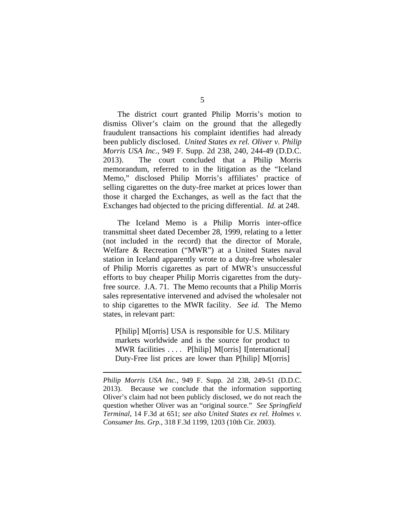The district court granted Philip Morris's motion to dismiss Oliver's claim on the ground that the allegedly fraudulent transactions his complaint identifies had already been publicly disclosed. *United States ex rel. Oliver v. Philip Morris USA Inc.*, 949 F. Supp. 2d 238, 240, 244-49 (D.D.C. 2013). The court concluded that a Philip Morris memorandum, referred to in the litigation as the "Iceland Memo," disclosed Philip Morris's affiliates' practice of selling cigarettes on the duty-free market at prices lower than those it charged the Exchanges, as well as the fact that the Exchanges had objected to the pricing differential. *Id.* at 248.

The Iceland Memo is a Philip Morris inter-office transmittal sheet dated December 28, 1999, relating to a letter (not included in the record) that the director of Morale, Welfare & Recreation ("MWR") at a United States naval station in Iceland apparently wrote to a duty-free wholesaler of Philip Morris cigarettes as part of MWR's unsuccessful efforts to buy cheaper Philip Morris cigarettes from the dutyfree source. J.A. 71. The Memo recounts that a Philip Morris sales representative intervened and advised the wholesaler not to ship cigarettes to the MWR facility. *See id.* The Memo states, in relevant part:

P[hilip] M[orris] USA is responsible for U.S. Military markets worldwide and is the source for product to MWR facilities .... P[hilip] M[orris] I[nternational] Duty-Free list prices are lower than P[hilip] M[orris]

1

*Philip Morris USA Inc.*, 949 F. Supp. 2d 238, 249-51 (D.D.C. 2013). Because we conclude that the information supporting Oliver's claim had not been publicly disclosed, we do not reach the question whether Oliver was an "original source." *See Springfield Terminal*, 14 F.3d at 651; *see also United States ex rel. Holmes v. Consumer Ins. Grp.*, 318 F.3d 1199, 1203 (10th Cir. 2003).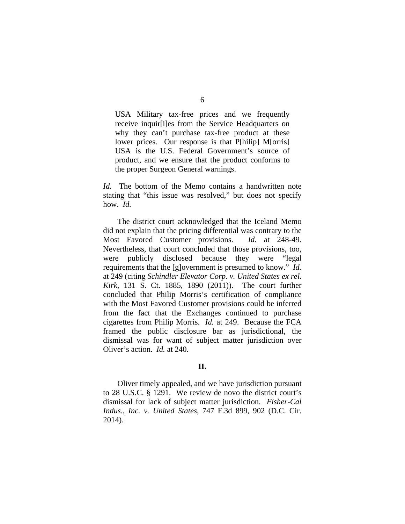USA Military tax-free prices and we frequently receive inquir[i]es from the Service Headquarters on why they can't purchase tax-free product at these lower prices. Our response is that P[hilip] M[orris] USA is the U.S. Federal Government's source of product, and we ensure that the product conforms to the proper Surgeon General warnings.

*Id.* The bottom of the Memo contains a handwritten note stating that "this issue was resolved," but does not specify how. *Id.*

The district court acknowledged that the Iceland Memo did not explain that the pricing differential was contrary to the Most Favored Customer provisions. *Id.* at 248-49. Nevertheless, that court concluded that those provisions, too, were publicly disclosed because they were "legal requirements that the [g]overnment is presumed to know." *Id.* at 249 (citing *Schindler Elevator Corp. v. United States ex rel. Kirk*, 131 S. Ct. 1885, 1890 (2011)). The court further concluded that Philip Morris's certification of compliance with the Most Favored Customer provisions could be inferred from the fact that the Exchanges continued to purchase cigarettes from Philip Morris. *Id.* at 249. Because the FCA framed the public disclosure bar as jurisdictional, the dismissal was for want of subject matter jurisdiction over Oliver's action. *Id.* at 240.

## **II.**

 Oliver timely appealed, and we have jurisdiction pursuant to 28 U.S.C. § 1291. We review de novo the district court's dismissal for lack of subject matter jurisdiction. *Fisher-Cal Indus., Inc. v. United States*, 747 F.3d 899, 902 (D.C. Cir. 2014).

## 6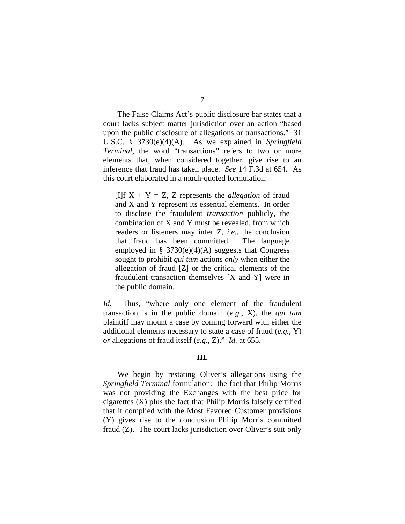The False Claims Act's public disclosure bar states that a court lacks subject matter jurisdiction over an action "based upon the public disclosure of allegations or transactions." 31 U.S.C. § 3730(e)(4)(A). As we explained in *Springfield Terminal*, the word "transactions" refers to two or more elements that, when considered together, give rise to an inference that fraud has taken place. *See* 14 F.3d at 654*.* As this court elaborated in a much-quoted formulation:

[I]f  $X + Y = Z$ , Z represents the *allegation* of fraud and X and Y represent its essential elements. In order to disclose the fraudulent *transaction* publicly, the combination of X and Y must be revealed, from which readers or listeners may infer Z, *i.e.*, the conclusion that fraud has been committed. The language employed in § 3730(e)(4)(A) suggests that Congress sought to prohibit *qui tam* actions *only* when either the allegation of fraud [Z] or the critical elements of the fraudulent transaction themselves [X and Y] were in the public domain.

*Id.* Thus, "where only one element of the fraudulent transaction is in the public domain (*e.g.*, X), the *qui tam* plaintiff may mount a case by coming forward with either the additional elements necessary to state a case of fraud (*e.g.*, Y) *or* allegations of fraud itself (*e.g.*, Z)." *Id.* at 655.

### **III.**

 We begin by restating Oliver's allegations using the *Springfield Terminal* formulation: the fact that Philip Morris was not providing the Exchanges with the best price for cigarettes (X) plus the fact that Philip Morris falsely certified that it complied with the Most Favored Customer provisions (Y) gives rise to the conclusion Philip Morris committed fraud (Z). The court lacks jurisdiction over Oliver's suit only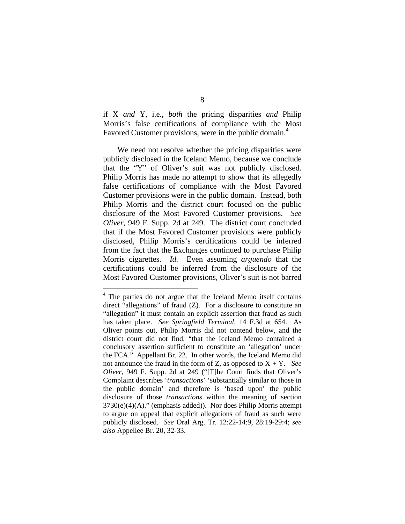if X *and* Y, i.e., *both* the pricing disparities *and* Philip Morris's false certifications of compliance with the Most Favored Customer provisions, were in the public domain.<sup>4</sup>

We need not resolve whether the pricing disparities were publicly disclosed in the Iceland Memo, because we conclude that the "Y" of Oliver's suit was not publicly disclosed. Philip Morris has made no attempt to show that its allegedly false certifications of compliance with the Most Favored Customer provisions were in the public domain. Instead, both Philip Morris and the district court focused on the public disclosure of the Most Favored Customer provisions. *See Oliver*, 949 F. Supp. 2d at 249. The district court concluded that if the Most Favored Customer provisions were publicly disclosed, Philip Morris's certifications could be inferred from the fact that the Exchanges continued to purchase Philip Morris cigarettes. *Id.* Even assuming *arguendo* that the certifications could be inferred from the disclosure of the Most Favored Customer provisions, Oliver's suit is not barred

<sup>&</sup>lt;sup>4</sup> The parties do not argue that the Iceland Memo itself contains direct "allegations" of fraud (Z). For a disclosure to constitute an "allegation" it must contain an explicit assertion that fraud as such has taken place. *See Springfield Terminal*, 14 F.3d at 654. As Oliver points out, Philip Morris did not contend below, and the district court did not find, "that the Iceland Memo contained a conclusory assertion sufficient to constitute an 'allegation' under the FCA." Appellant Br. 22. In other words, the Iceland Memo did not announce the fraud in the form of Z, as opposed to  $X + Y$ . *See Oliver*, 949 F. Supp. 2d at 249 ("[T]he Court finds that Oliver's Complaint describes '*transactions*' 'substantially similar to those in the public domain' and therefore is 'based upon' the public disclosure of those *transactions* within the meaning of section 3730(e)(4)(A)." (emphasis added)). Nor does Philip Morris attempt to argue on appeal that explicit allegations of fraud as such were publicly disclosed. *See* Oral Arg. Tr. 12:22-14:9, 28:19-29:4; *see also* Appellee Br. 20, 32-33.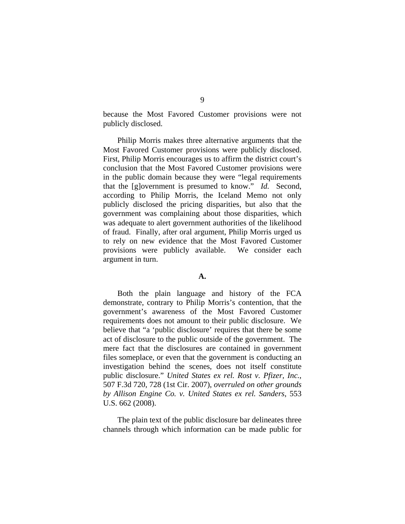because the Most Favored Customer provisions were not publicly disclosed.

Philip Morris makes three alternative arguments that the Most Favored Customer provisions were publicly disclosed. First, Philip Morris encourages us to affirm the district court's conclusion that the Most Favored Customer provisions were in the public domain because they were "legal requirements that the [g]overnment is presumed to know." *Id.* Second, according to Philip Morris, the Iceland Memo not only publicly disclosed the pricing disparities, but also that the government was complaining about those disparities, which was adequate to alert government authorities of the likelihood of fraud. Finally, after oral argument, Philip Morris urged us to rely on new evidence that the Most Favored Customer provisions were publicly available. We consider each argument in turn.

### **A.**

 Both the plain language and history of the FCA demonstrate, contrary to Philip Morris's contention, that the government's awareness of the Most Favored Customer requirements does not amount to their public disclosure. We believe that "a 'public disclosure' requires that there be some act of disclosure to the public outside of the government. The mere fact that the disclosures are contained in government files someplace, or even that the government is conducting an investigation behind the scenes, does not itself constitute public disclosure." *United States ex rel. Rost v. Pfizer, Inc.*, 507 F.3d 720, 728 (1st Cir. 2007), *overruled on other grounds by Allison Engine Co. v. United States ex rel. Sanders*, 553 U.S. 662 (2008).

The plain text of the public disclosure bar delineates three channels through which information can be made public for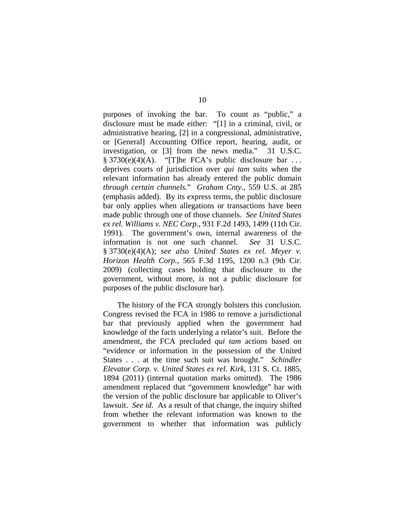purposes of invoking the bar. To count as "public," a disclosure must be made either: "[1] in a criminal, civil, or administrative hearing, [2] in a congressional, administrative, or [General] Accounting Office report, hearing, audit, or investigation, or [3] from the news media." 31 U.S.C.  $§ 3730(e)(4)(A)$ . "[T]he FCA's public disclosure bar ... deprives courts of jurisdiction over *qui tam* suits when the relevant information has already entered the public domain *through certain channels*." *Graham Cnty.*, 559 U.S. at 285 (emphasis added). By its express terms, the public disclosure bar only applies when allegations or transactions have been made public through one of those channels. *See United States ex rel. Williams v. NEC Corp.*, 931 F.2d 1493, 1499 (11th Cir. 1991). The government's own, internal awareness of the information is not one such channel. *See* 31 U.S.C. § 3730(e)(4)(A); *see also United States ex rel. Meyer v. Horizon Health Corp.*, 565 F.3d 1195, 1200 n.3 (9th Cir. 2009) (collecting cases holding that disclosure to the government, without more, is not a public disclosure for purposes of the public disclosure bar).

 The history of the FCA strongly bolsters this conclusion. Congress revised the FCA in 1986 to remove a jurisdictional bar that previously applied when the government had knowledge of the facts underlying a relator's suit. Before the amendment, the FCA precluded *qui tam* actions based on "evidence or information in the possession of the United States . . . at the time such suit was brought." *Schindler Elevator Corp. v. United States ex rel. Kirk*, 131 S. Ct. 1885, 1894 (2011) (internal quotation marks omitted). The 1986 amendment replaced that "government knowledge" bar with the version of the public disclosure bar applicable to Oliver's lawsuit. *See id.* As a result of that change, the inquiry shifted from whether the relevant information was known to the government to whether that information was publicly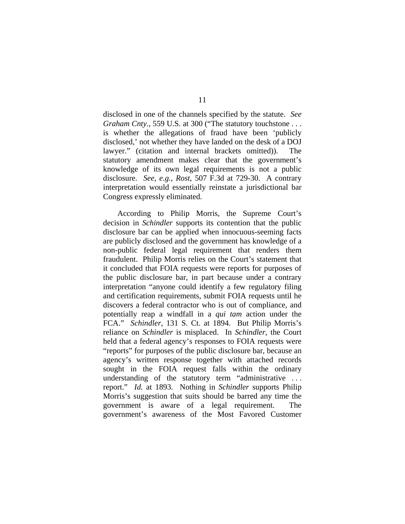disclosed in one of the channels specified by the statute. *See Graham Cnty.*, 559 U.S. at 300 ("The statutory touchstone . . . is whether the allegations of fraud have been 'publicly disclosed,' not whether they have landed on the desk of a DOJ lawyer." (citation and internal brackets omitted)). The statutory amendment makes clear that the government's knowledge of its own legal requirements is not a public disclosure. *See, e.g.*, *Rost*, 507 F.3d at 729-30. A contrary interpretation would essentially reinstate a jurisdictional bar Congress expressly eliminated.

According to Philip Morris, the Supreme Court's decision in *Schindler* supports its contention that the public disclosure bar can be applied when innocuous-seeming facts are publicly disclosed and the government has knowledge of a non-public federal legal requirement that renders them fraudulent. Philip Morris relies on the Court's statement that it concluded that FOIA requests were reports for purposes of the public disclosure bar, in part because under a contrary interpretation "anyone could identify a few regulatory filing and certification requirements, submit FOIA requests until he discovers a federal contractor who is out of compliance, and potentially reap a windfall in a *qui tam* action under the FCA." *Schindler*, 131 S. Ct. at 1894. But Philip Morris's reliance on *Schindler* is misplaced. In *Schindler*, the Court held that a federal agency's responses to FOIA requests were "reports" for purposes of the public disclosure bar, because an agency's written response together with attached records sought in the FOIA request falls within the ordinary understanding of the statutory term "administrative . . . report." *Id.* at 1893. Nothing in *Schindler* supports Philip Morris's suggestion that suits should be barred any time the government is aware of a legal requirement. The government's awareness of the Most Favored Customer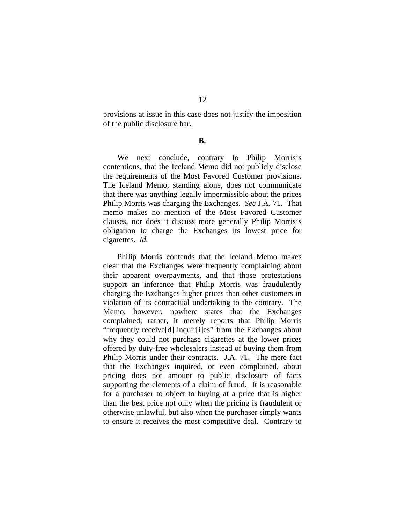12 provisions at issue in this case does not justify the imposition

of the public disclosure bar.

**B.** 

We next conclude, contrary to Philip Morris's contentions, that the Iceland Memo did not publicly disclose the requirements of the Most Favored Customer provisions. The Iceland Memo, standing alone, does not communicate that there was anything legally impermissible about the prices Philip Morris was charging the Exchanges. *See* J.A. 71. That memo makes no mention of the Most Favored Customer clauses, nor does it discuss more generally Philip Morris's obligation to charge the Exchanges its lowest price for cigarettes. *Id.*

Philip Morris contends that the Iceland Memo makes clear that the Exchanges were frequently complaining about their apparent overpayments, and that those protestations support an inference that Philip Morris was fraudulently charging the Exchanges higher prices than other customers in violation of its contractual undertaking to the contrary.The Memo, however, nowhere states that the Exchanges complained; rather, it merely reports that Philip Morris "frequently receive[d] inquir[i]es" from the Exchanges about why they could not purchase cigarettes at the lower prices offered by duty-free wholesalers instead of buying them from Philip Morris under their contracts. J.A. 71. The mere fact that the Exchanges inquired, or even complained, about pricing does not amount to public disclosure of facts supporting the elements of a claim of fraud. It is reasonable for a purchaser to object to buying at a price that is higher than the best price not only when the pricing is fraudulent or otherwise unlawful, but also when the purchaser simply wants to ensure it receives the most competitive deal. Contrary to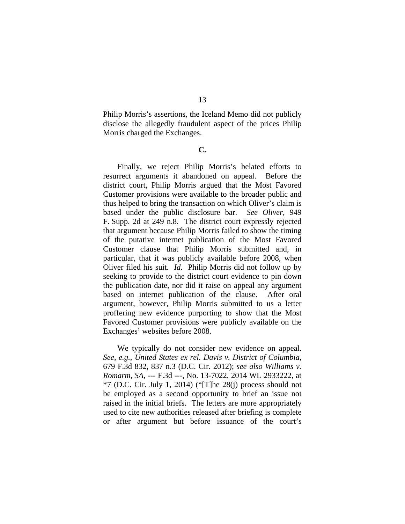13

Philip Morris's assertions, the Iceland Memo did not publicly disclose the allegedly fraudulent aspect of the prices Philip Morris charged the Exchanges.

**C.** 

Finally, we reject Philip Morris's belated efforts to resurrect arguments it abandoned on appeal. Before the district court, Philip Morris argued that the Most Favored Customer provisions were available to the broader public and thus helped to bring the transaction on which Oliver's claim is based under the public disclosure bar. *See Oliver*, 949 F. Supp. 2d at 249 n.8. The district court expressly rejected that argument because Philip Morris failed to show the timing of the putative internet publication of the Most Favored Customer clause that Philip Morris submitted and, in particular, that it was publicly available before 2008, when Oliver filed his suit. *Id.* Philip Morris did not follow up by seeking to provide to the district court evidence to pin down the publication date, nor did it raise on appeal any argument based on internet publication of the clause. After oral argument, however, Philip Morris submitted to us a letter proffering new evidence purporting to show that the Most Favored Customer provisions were publicly available on the Exchanges' websites before 2008.

We typically do not consider new evidence on appeal. *See, e.g.*, *United States ex rel. Davis v. District of Columbia*, 679 F.3d 832, 837 n.3 (D.C. Cir. 2012); *see also Williams v. Romarm, SA*, --- F.3d ---, No. 13-7022, 2014 WL 2933222, at  $*7$  (D.C. Cir. July 1, 2014) ("[T]he 28(j) process should not be employed as a second opportunity to brief an issue not raised in the initial briefs. The letters are more appropriately used to cite new authorities released after briefing is complete or after argument but before issuance of the court's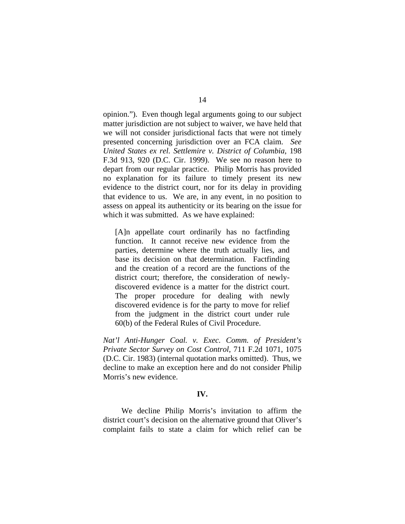opinion."). Even though legal arguments going to our subject matter jurisdiction are not subject to waiver, we have held that we will not consider jurisdictional facts that were not timely presented concerning jurisdiction over an FCA claim. *See United States ex rel. Settlemire v. District of Columbia*, 198 F.3d 913, 920 (D.C. Cir. 1999). We see no reason here to depart from our regular practice. Philip Morris has provided no explanation for its failure to timely present its new evidence to the district court, nor for its delay in providing that evidence to us. We are, in any event, in no position to assess on appeal its authenticity or its bearing on the issue for which it was submitted. As we have explained:

[A]n appellate court ordinarily has no factfinding function. It cannot receive new evidence from the parties, determine where the truth actually lies, and base its decision on that determination. Factfinding and the creation of a record are the functions of the district court; therefore, the consideration of newlydiscovered evidence is a matter for the district court. The proper procedure for dealing with newly discovered evidence is for the party to move for relief from the judgment in the district court under rule 60(b) of the Federal Rules of Civil Procedure.

*Nat'l Anti-Hunger Coal. v. Exec. Comm. of President's Private Sector Survey on Cost Control*, 711 F.2d 1071, 1075 (D.C. Cir. 1983) (internal quotation marks omitted). Thus, we decline to make an exception here and do not consider Philip Morris's new evidence.

## **IV.**

 We decline Philip Morris's invitation to affirm the district court's decision on the alternative ground that Oliver's complaint fails to state a claim for which relief can be